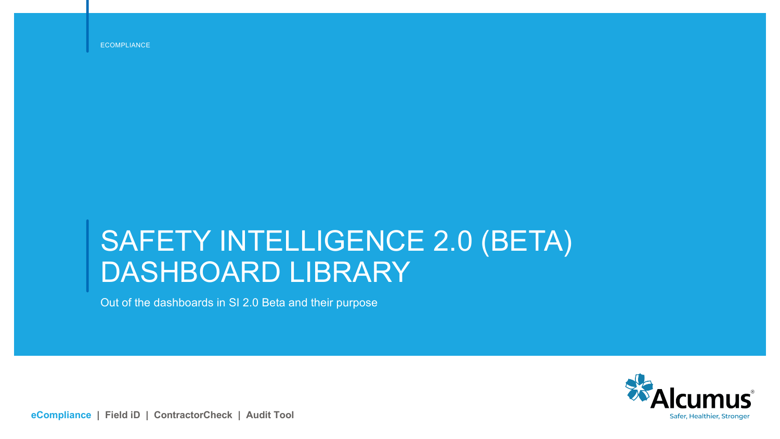ECOMPLIANCE

# SAFETY INTELLIGENCE 2.0 (BETA) DASHBOARD LIBRARY

Out of the dashboards in SI 2.0 Beta and their purpose



**eCompliance | Field iD | ContractorCheck | Audit Tool**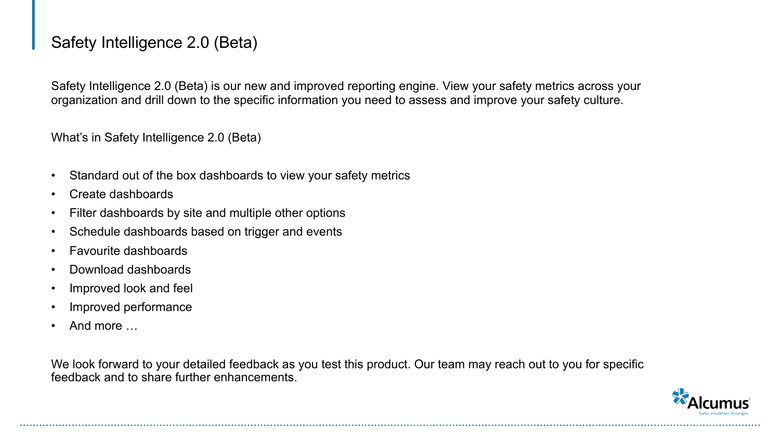# Safety Intelligence 2.0 (Beta)

Safety Intelligence 2.0 (Beta) is our new and improved reporting engine. View your safety metrics across your organization and drill down to the specific information you need to assess and improve your safety culture.

What's in Safety Intelligence 2.0 (Beta)

- Standard out of the box dashboards to view your safety metrics
- Create dashboards
- Filter dashboards by site and multiple other options
- Schedule dashboards based on trigger and events
- Favourite dashboards
- Download dashboards
- Improved look and feel
- Improved performance
- And more …

We look forward to your detailed feedback as you test this product. Our team may reach out to you for specific feedback and to share further enhancements.

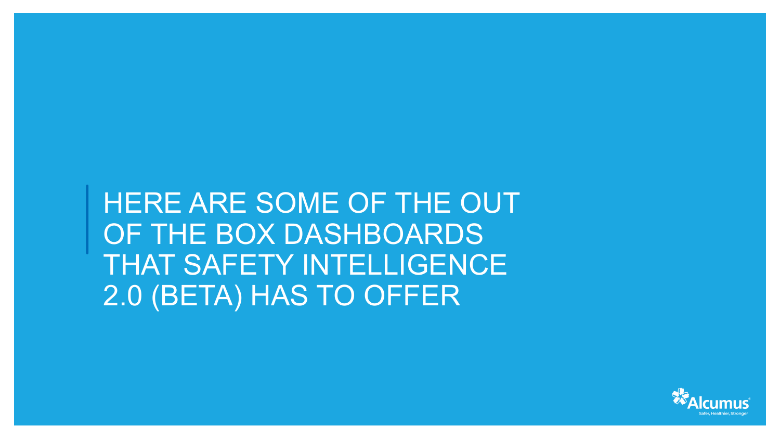HERE ARE SOME OF THE OUT OF THE BOX DASHBOARDS THAT SAFETY INTELLIGENCE 2.0 (BETA) HAS TO OFFER

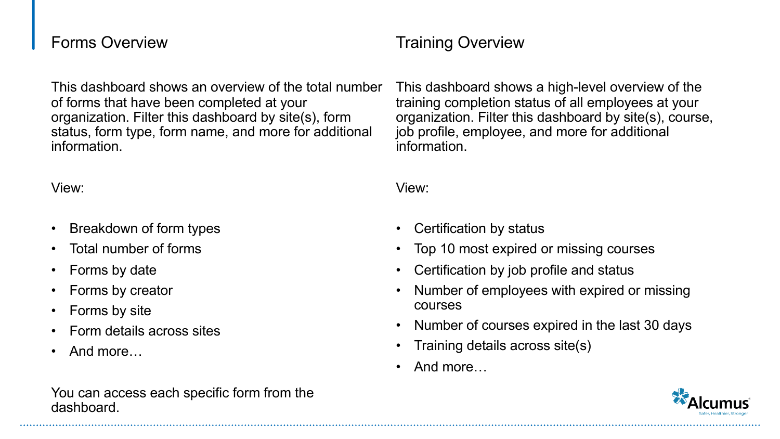### Forms Overview

This dashboard shows an overview of the total number of forms that have been completed at your organization. Filter this dashboard by site(s), form status, form type, form name, and more for additional information.

#### View:

- Breakdown of form types
- Total number of forms
- Forms by date
- Forms by creator
- Forms by site
- Form details across sites
- And more…

#### You can access each specific form from the dashboard.

# Training Overview

This dashboard shows a high-level overview of the training completion status of all employees at your organization. Filter this dashboard by site(s), course, job profile, employee, and more for additional information.

- Certification by status
- Top 10 most expired or missing courses
- Certification by job profile and status
- Number of employees with expired or missing courses
- Number of courses expired in the last 30 days
- Training details across site(s)
- And more…

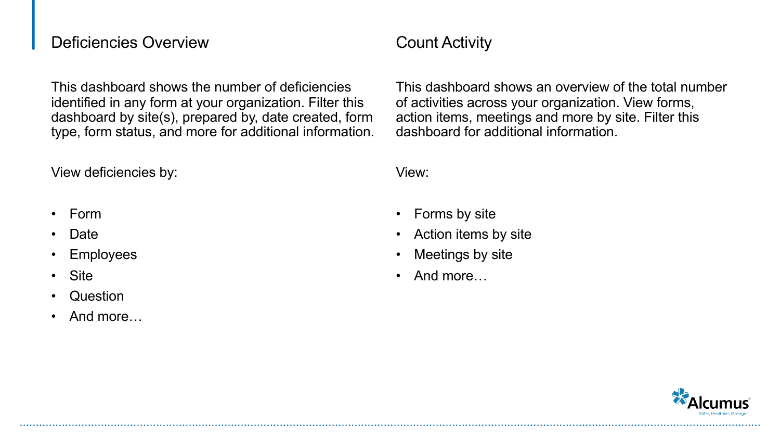### Deficiencies Overview

This dashboard shows the number of deficiencies identified in any form at your organization. Filter this dashboard by site(s), prepared by, date created, form type, form status, and more for additional information.

View deficiencies by:

- Form
- Date
- **Employees**
- **Site**
- Question
- And more

# Count Activity

This dashboard shows an overview of the total number of activities across your organization. View forms, action items, meetings and more by site. Filter this dashboard for additional information.

- Forms by site
- Action items by site
- Meetings by site
- And more…

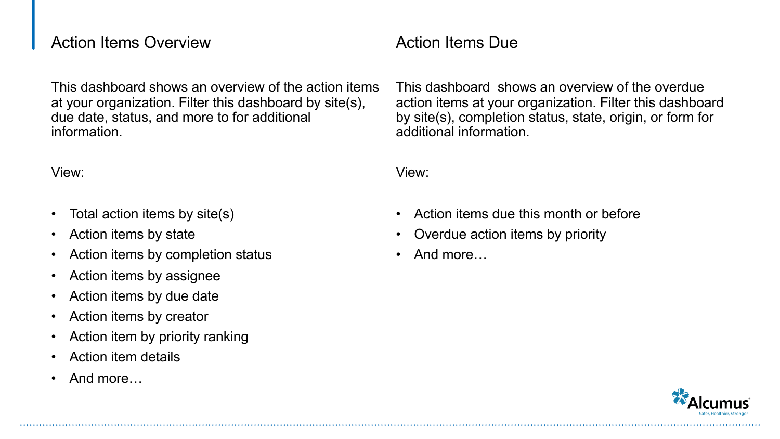### Action Items Overview

This dashboard shows an overview of the action items at your organization. Filter this dashboard by site(s), due date, status, and more to for additional information.

View:

- Total action items by site(s)
- Action items by state
- Action items by completion status
- Action items by assignee
- Action items by due date
- Action items by creator
- Action item by priority ranking
- Action item details
- And more…

# Action Items Due

This dashboard shows an overview of the overdue action items at your organization. Filter this dashboard by site(s), completion status, state, origin, or form for additional information.

- Action items due this month or before
- Overdue action items by priority
- And more…

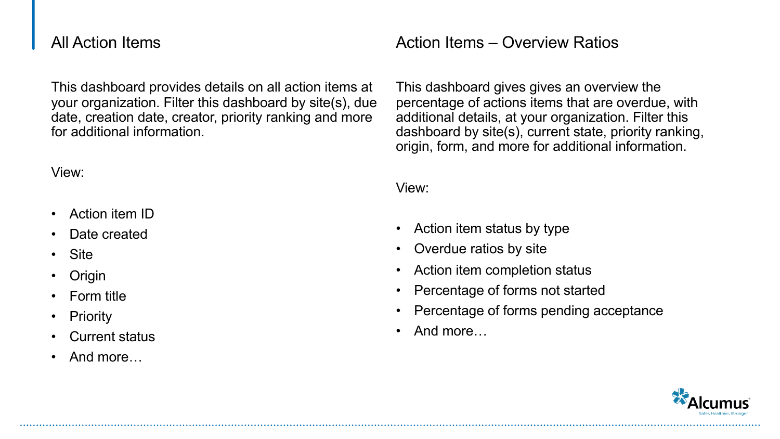## All Action Items

This dashboard provides details on all action items at your organization. Filter this dashboard by site(s), due date, creation date, creator, priority ranking and more for additional information.

#### View:

- Action item ID
- Date created
- **Site**
- **Origin**
- Form title
- **Priority**
- Current status
- And more…

## Action Items – Overview Ratios

This dashboard gives gives an overview the percentage of actions items that are overdue, with additional details, at your organization. Filter this dashboard by site(s), current state, priority ranking, origin, form, and more for additional information.

- Action item status by type
- Overdue ratios by site
- Action item completion status
- Percentage of forms not started
- Percentage of forms pending acceptance
- And more…